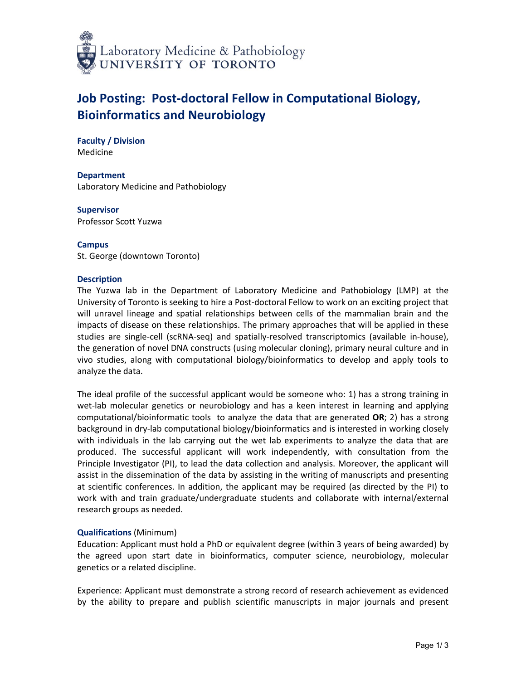

# **Job Posting: Post-doctoral Fellow in Computational Biology, Bioinformatics and Neurobiology**

**Faculty / Division** Medicine

**Department** Laboratory Medicine and Pathobiology

**Supervisor** Professor Scott Yuzwa

**Campus** St. George (downtown Toronto)

# **Description**

The Yuzwa lab in the Department of Laboratory Medicine and Pathobiology (LMP) at the University of Toronto is seeking to hire a Post-doctoral Fellow to work on an exciting project that will unravel lineage and spatial relationships between cells of the mammalian brain and the impacts of disease on these relationships. The primary approaches that will be applied in these studies are single-cell (scRNA-seq) and spatially-resolved transcriptomics (available in-house), the generation of novel DNA constructs (using molecular cloning), primary neural culture and in vivo studies, along with computational biology/bioinformatics to develop and apply tools to analyze the data.

The ideal profile of the successful applicant would be someone who: 1) has a strong training in wet-lab molecular genetics or neurobiology and has a keen interest in learning and applying computational/bioinformatic tools to analyze the data that are generated **OR**; 2) has a strong background in dry-lab computational biology/bioinformatics and is interested in working closely with individuals in the lab carrying out the wet lab experiments to analyze the data that are produced. The successful applicant will work independently, with consultation from the Principle Investigator (PI), to lead the data collection and analysis. Moreover, the applicant will assist in the dissemination of the data by assisting in the writing of manuscripts and presenting at scientific conferences. In addition, the applicant may be required (as directed by the PI) to work with and train graduate/undergraduate students and collaborate with internal/external research groups as needed.

# **Qualifications** (Minimum)

Education: Applicant must hold a PhD or equivalent degree (within 3 years of being awarded) by the agreed upon start date in bioinformatics, computer science, neurobiology, molecular genetics or a related discipline.

Experience: Applicant must demonstrate a strong record of research achievement as evidenced by the ability to prepare and publish scientific manuscripts in major journals and present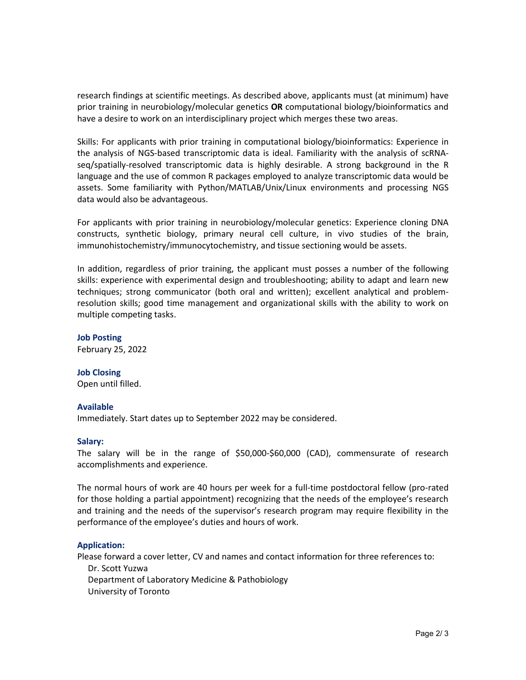research findings at scientific meetings. As described above, applicants must (at minimum) have prior training in neurobiology/molecular genetics **OR** computational biology/bioinformatics and have a desire to work on an interdisciplinary project which merges these two areas.

Skills: For applicants with prior training in computational biology/bioinformatics: Experience in the analysis of NGS-based transcriptomic data is ideal. Familiarity with the analysis of scRNAseq/spatially-resolved transcriptomic data is highly desirable. A strong background in the R language and the use of common R packages employed to analyze transcriptomic data would be assets. Some familiarity with Python/MATLAB/Unix/Linux environments and processing NGS data would also be advantageous.

For applicants with prior training in neurobiology/molecular genetics: Experience cloning DNA constructs, synthetic biology, primary neural cell culture, in vivo studies of the brain, immunohistochemistry/immunocytochemistry, and tissue sectioning would be assets.

In addition, regardless of prior training, the applicant must posses a number of the following skills: experience with experimental design and troubleshooting; ability to adapt and learn new techniques; strong communicator (both oral and written); excellent analytical and problemresolution skills; good time management and organizational skills with the ability to work on multiple competing tasks.

**Job Posting** February 25, 2022

# **Job Closing**

Open until filled.

#### **Available**

Immediately. Start dates up to September 2022 may be considered.

#### **Salary:**

The salary will be in the range of \$50,000-\$60,000 (CAD), commensurate of research accomplishments and experience.

The normal hours of work are 40 hours per week for a full-time postdoctoral fellow (pro-rated for those holding a partial appointment) recognizing that the needs of the employee's research and training and the needs of the supervisor's research program may require flexibility in the performance of the employee's duties and hours of work.

# **Application:**

Please forward a cover letter, CV and names and contact information for three references to: Dr. Scott Yuzwa Department of Laboratory Medicine & Pathobiology University of Toronto